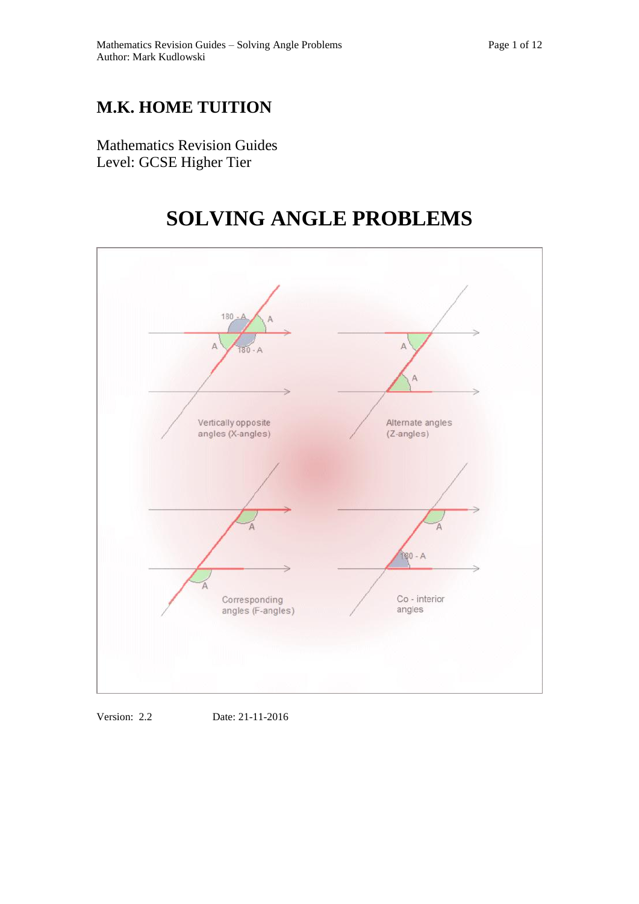## **M.K. HOME TUITION**

Mathematics Revision Guides Level: GCSE Higher Tier

# **SOLVING ANGLE PROBLEMS**



Version: 2.2 Date: 21-11-2016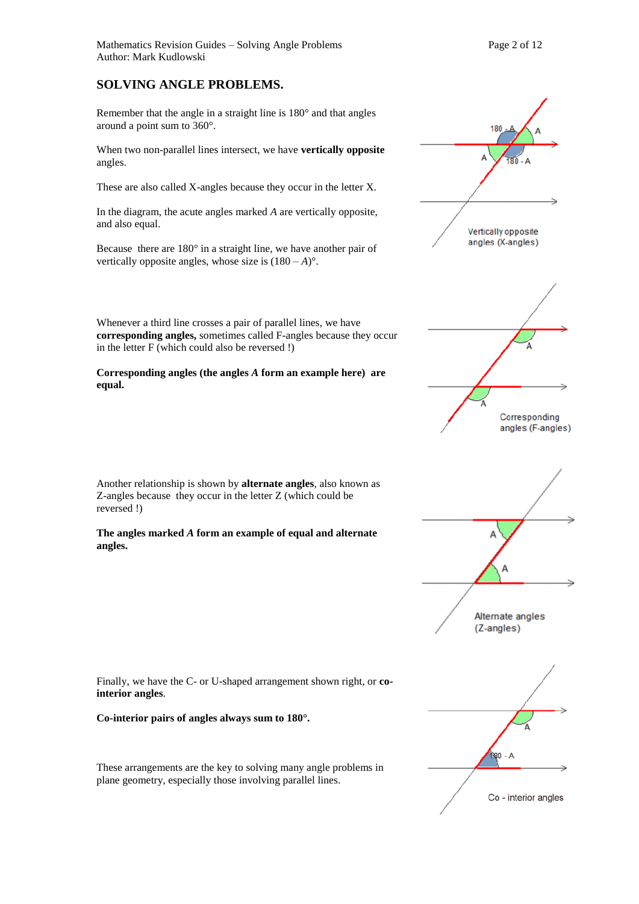### **SOLVING ANGLE PROBLEMS.**

Remember that the angle in a straight line is 180° and that angles around a point sum to 360°.

When two non-parallel lines intersect, we have **vertically opposite**  angles.

These are also called X-angles because they occur in the letter X.

In the diagram, the acute angles marked *A* are vertically opposite, and also equal.

Because there are 180° in a straight line, we have another pair of vertically opposite angles, whose size is  $(180 - A)^\circ$ .

Whenever a third line crosses a pair of parallel lines, we have **corresponding angles,** sometimes called F-angles because they occur in the letter F (which could also be reversed !)

**Corresponding angles (the angles** *A* **form an example here) are equal.**

Another relationship is shown by **alternate angles**, also known as Z-angles because they occur in the letter Z (which could be reversed !)

**The angles marked** *A* **form an example of equal and alternate angles.** 



**Co-interior pairs of angles always sum to 180°.** 

These arrangements are the key to solving many angle problems in plane geometry, especially those involving parallel lines.





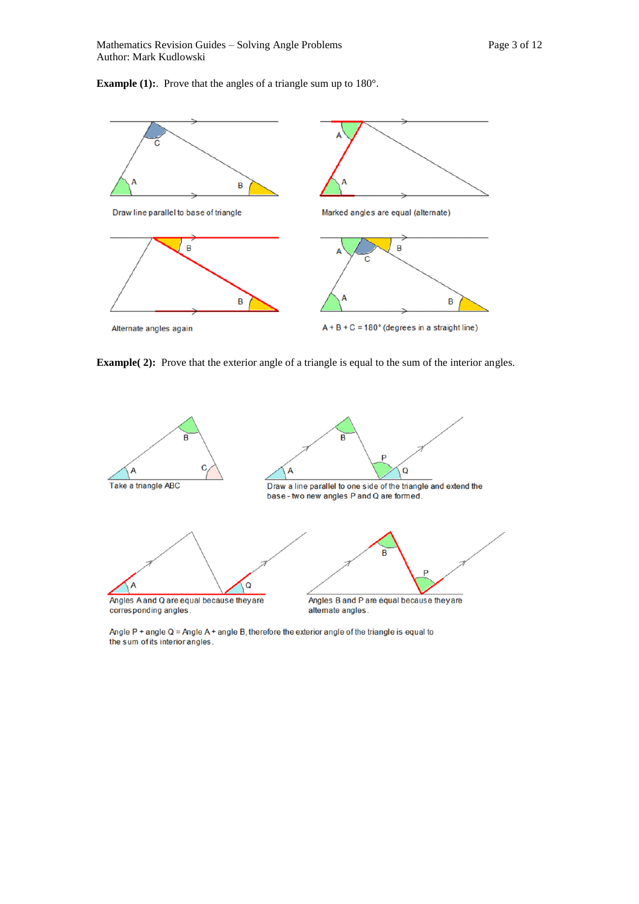**Example (1):** Prove that the angles of a triangle sum up to 180°.



**Example(2):** Prove that the exterior angle of a triangle is equal to the sum of the interior angles.



Angle  $P$  + angle Q = Angle A + angle B, therefore the exterior angle of the triangle is equal to the sum of its interior angles.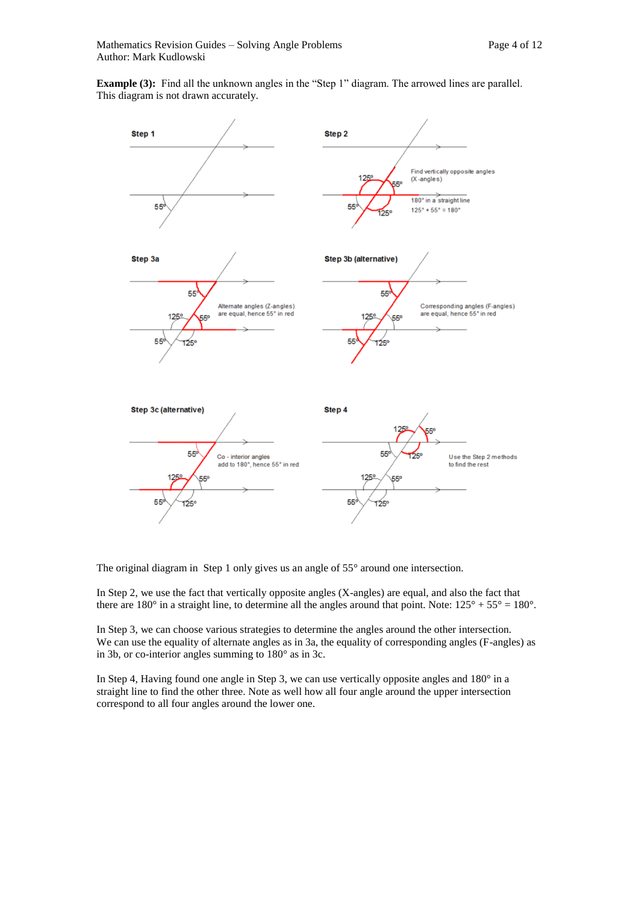**Example (3):** Find all the unknown angles in the "Step 1" diagram. The arrowed lines are parallel. This diagram is not drawn accurately.



The original diagram in Step 1 only gives us an angle of 55° around one intersection.

In Step 2, we use the fact that vertically opposite angles (X-angles) are equal, and also the fact that there are 180° in a straight line, to determine all the angles around that point. Note:  $125^{\circ} + 55^{\circ} = 180^{\circ}$ .

In Step 3, we can choose various strategies to determine the angles around the other intersection. We can use the equality of alternate angles as in 3a, the equality of corresponding angles (F-angles) as in 3b, or co-interior angles summing to 180° as in 3c.

In Step 4, Having found one angle in Step 3, we can use vertically opposite angles and 180° in a straight line to find the other three. Note as well how all four angle around the upper intersection correspond to all four angles around the lower one.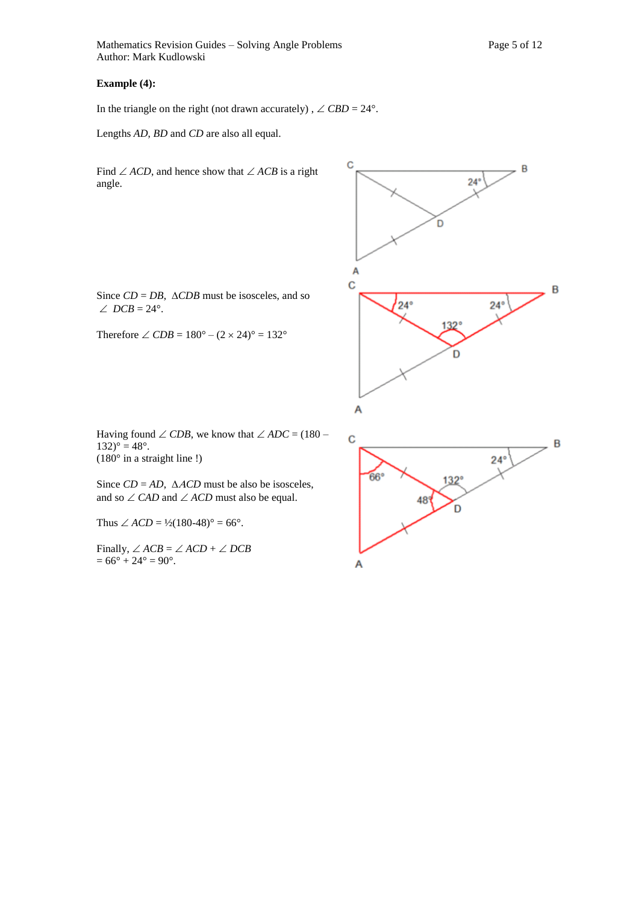Mathematics Revision Guides – Solving Angle Problems Page 5 of 12 Author: Mark Kudlowski

In the triangle on the right (not drawn accurately),  $\angle$  CBD = 24°.

 $\mathbf C$ 

Lengths *AD*, *BD* and *CD* are also all equal.

Find  $\angle ACD$ , and hence show that  $\angle ACB$  is a right angle.

Since  $CD = DB$ ,  $\triangle CDB$  must be isosceles, and so  $\angle$  *DCB* = 24°.

Therefore  $\angle$  *CDB* = 180° –  $(2 \times 24)$ ° = 132°

Having found  $\angle$  *CDB*, we know that  $\angle ADC = (180 132)° = 48°.$ (180° in a straight line !)

Since  $CD = AD$ ,  $\triangle ACD$  must be also be isosceles, and so  $\angle$  *CAD* and  $\angle$  *ACD* must also be equal.

Thus  $\angle ACD = \frac{1}{2}(180-48)$ ° = 66°.

Finally,  $\angle ACB = \angle ACD + \angle DCB$  $= 66^\circ + 24^\circ = 90^\circ$ .



B

 $24^{\circ}$ 

D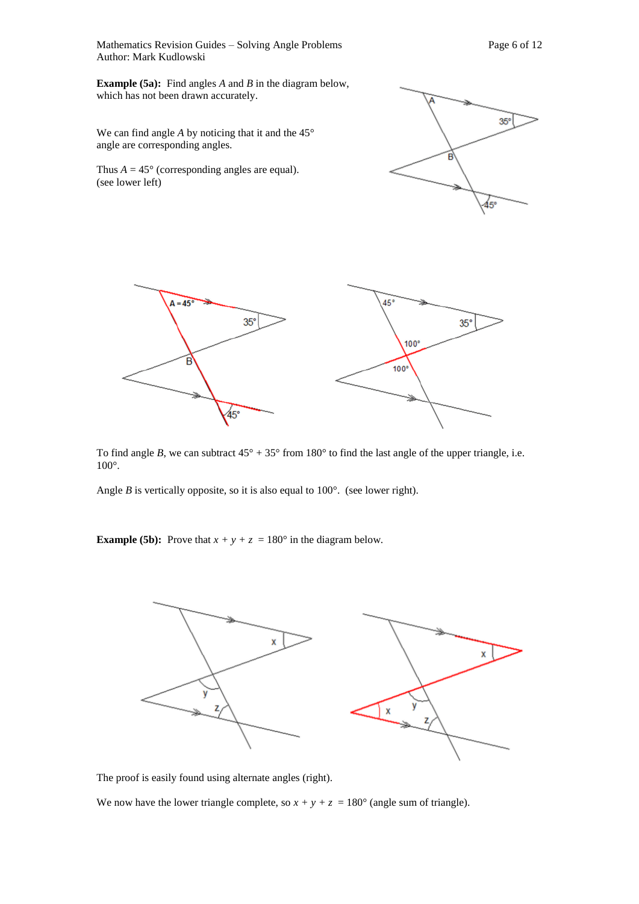Mathematics Revision Guides – Solving Angle Problems Page 6 of 12 Author: Mark Kudlowski

**Example (5a):** Find angles *A* and *B* in the diagram below, which has not been drawn accurately.

We can find angle *A* by noticing that it and the 45° angle are corresponding angles.

Thus  $A = 45^\circ$  (corresponding angles are equal). (see lower left)





To find angle *B*, we can subtract  $45^{\circ} + 35^{\circ}$  from  $180^{\circ}$  to find the last angle of the upper triangle, i.e. 100°.

Angle *B* is vertically opposite, so it is also equal to  $100^\circ$ . (see lower right).

**Example (5b):** Prove that  $x + y + z = 180^\circ$  in the diagram below.



The proof is easily found using alternate angles (right).

We now have the lower triangle complete, so  $x + y + z = 180^\circ$  (angle sum of triangle).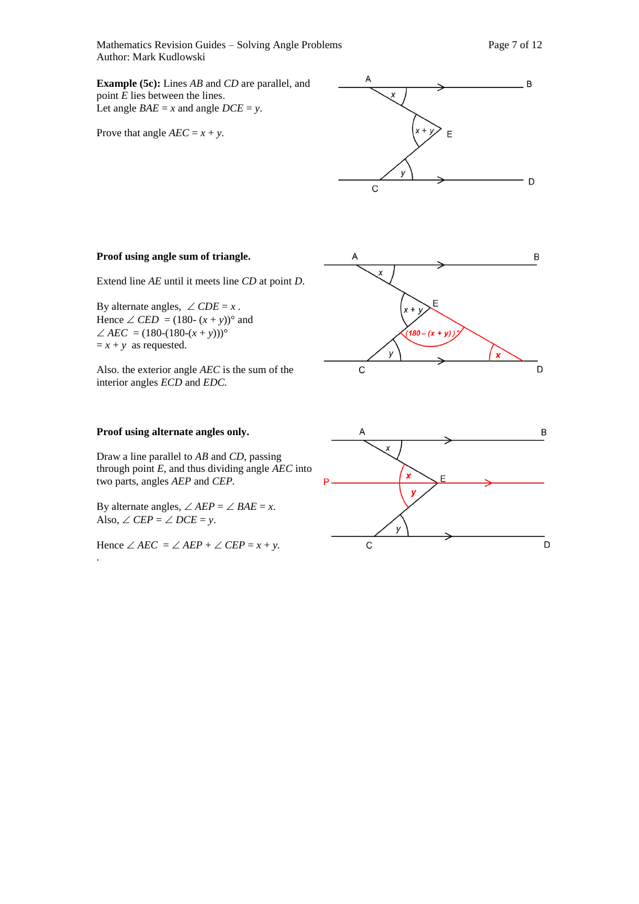Mathematics Revision Guides – Solving Angle Problems Page 7 of 12 Author: Mark Kudlowski

**Example (5c):** Lines *AB* and *CD* are parallel, and point *E* lies between the lines. Let angle  $BAE = x$  and angle  $DCE = y$ .

Prove that angle  $AEC = x + y$ .



#### **Proof using angle sum of triangle.**

Extend line *AE* until it meets line *CD* at point *D*.

By alternate angles,  $\angle$  *CDE* = *x*. Hence  $\angle$  *CED* = (180-  $(x + y)$ )° and  $\angle$  *AEC* = (180-(180-(*x* + *y*)))<sup>°</sup>  $= x + y$  as requested.

Also. the exterior angle *AEC* is the sum of the interior angles *ECD* and *EDC.*

#### **Proof using alternate angles only.**

Draw a line parallel to *AB* and *CD*, passing through point *E*, and thus dividing angle *AEC* into two parts, angles *AEP* and *CEP.*

By alternate angles,  $\angle AEP = \angle BAE = x$ . Also,  $\angle$  *CEP* =  $\angle$  *DCE* = *y*.

Hence  $\angle$  *AEC* =  $\angle$  *AEP* +  $\angle$  *CEP* = *x* + *y*. .



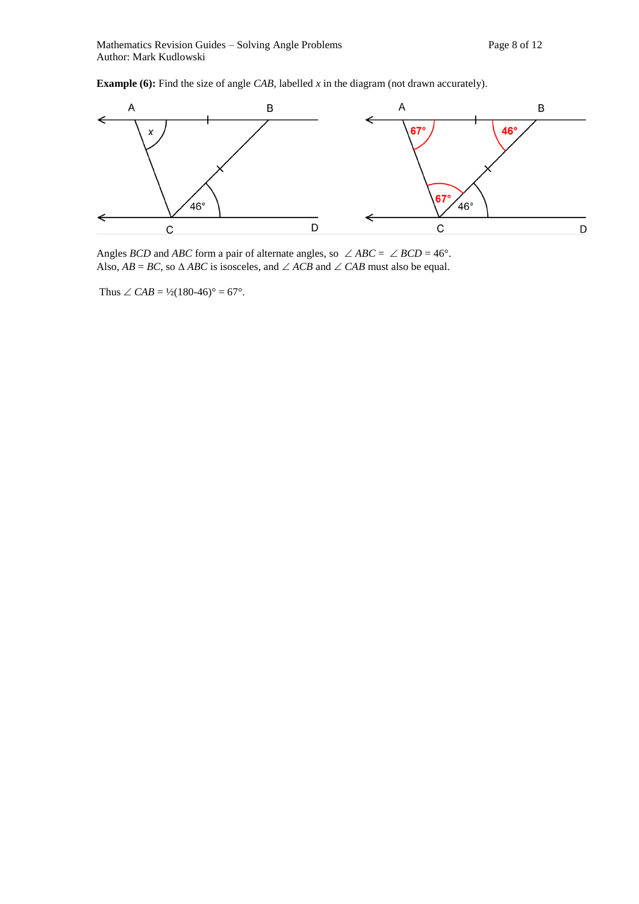**Example (6):** Find the size of angle *CAB*, labelled *x* in the diagram (not drawn accurately).



Angles *BCD* and *ABC* form a pair of alternate angles, so  $\angle ABC = \angle BCD = 46^\circ$ . Also,  $AB = BC$ , so  $\triangle ABC$  is isosceles, and  $\angle ACB$  and  $\angle CAB$  must also be equal.

Thus  $\angle$  *CAB* = <sup>1</sup>/<sub>2</sub>(180-46)<sup>°</sup> = 67<sup>°</sup>.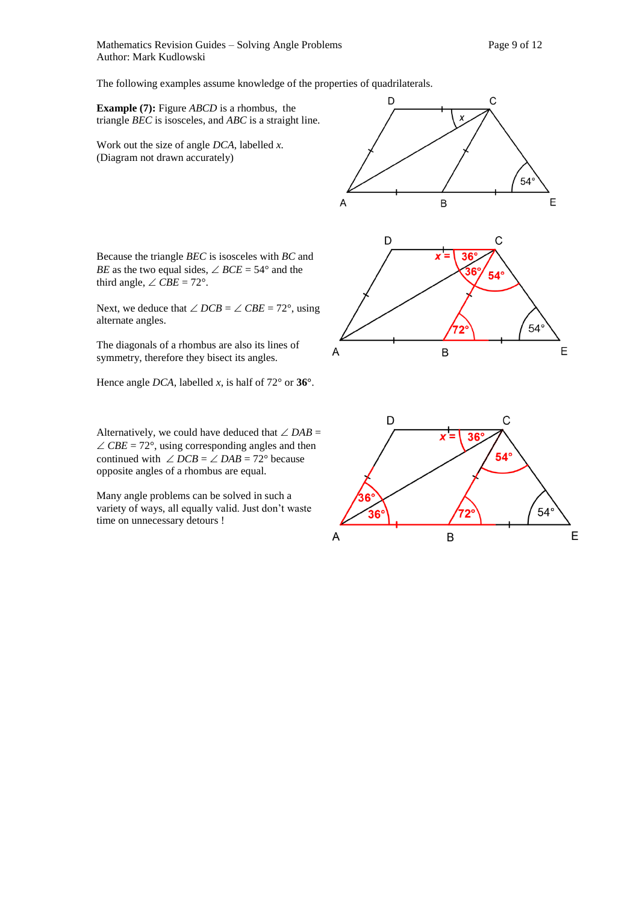Mathematics Revision Guides – Solving Angle Problems Page 9 of 12 Author: Mark Kudlowski

The following examples assume knowledge of the properties of quadrilaterals.

**Example (7):** Figure *ABCD* is a rhombus, the triangle *BEC* is isosceles, and *ABC* is a straight line.

Work out the size of angle *DCA*, labelled *x.*  (Diagram not drawn accurately)

Because the triangle *BEC* is isosceles with *BC* and *BE* as the two equal sides,  $\angle$  *BCE* = 54° and the third angle,  $\angle$  *CBE* = 72°.

Next, we deduce that  $\angle DCB = \angle CBE = 72^{\circ}$ , using alternate angles.

The diagonals of a rhombus are also its lines of symmetry, therefore they bisect its angles.

Hence angle *DCA*, labelled *x*, is half of 72° or **36°**.

Alternatively, we could have deduced that  $\angle DAB =$  $\angle$  *CBE* = 72°, using corresponding angles and then continued with  $\angle DCB = \angle DAB = 72^{\circ}$  because opposite angles of a rhombus are equal.

Many angle problems can be solved in such a variety of ways, all equally valid. Just don't waste time on unnecessary detours !

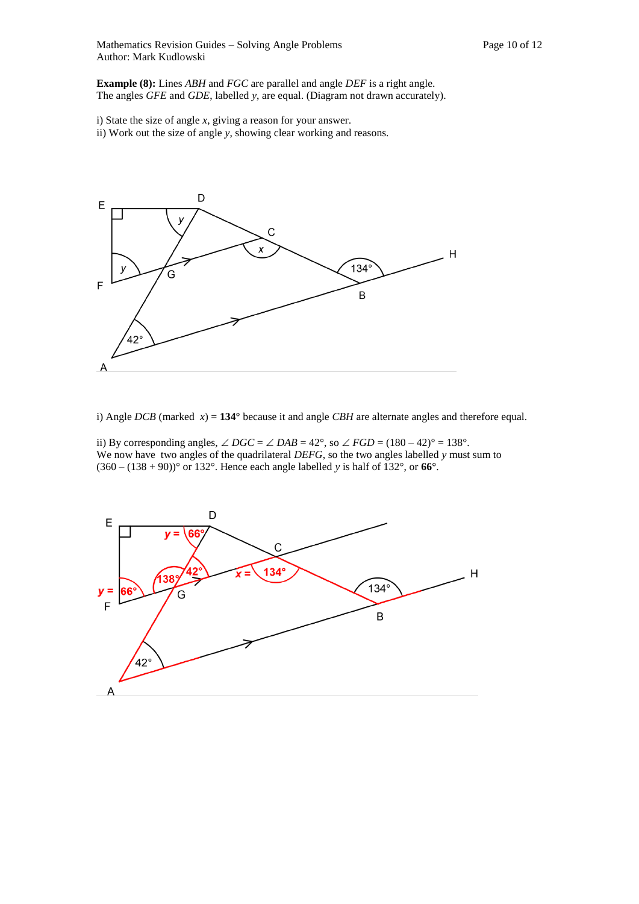Mathematics Revision Guides – Solving Angle Problems Page 10 of 12 Author: Mark Kudlowski

**Example (8):** Lines *ABH* and *FGC* are parallel and angle *DEF* is a right angle. The angles *GFE* and *GDE*, labelled *y*, are equal. (Diagram not drawn accurately).

i) State the size of angle *x*, giving a reason for your answer.

ii) Work out the size of angle *y*, showing clear working and reasons.



i) Angle *DCB* (marked *x*) = **134°** because it and angle *CBH* are alternate angles and therefore equal.

ii) By corresponding angles,  $\angle DGC = \angle DAB = 42^{\circ}$ , so  $\angle FGD = (180 - 42)^{\circ} = 138^{\circ}$ . We now have two angles of the quadrilateral *DEFG*, so the two angles labelled *y* must sum to (360 – (138 + 90))° or 132°. Hence each angle labelled *y* is half of 132°, or **66°**.

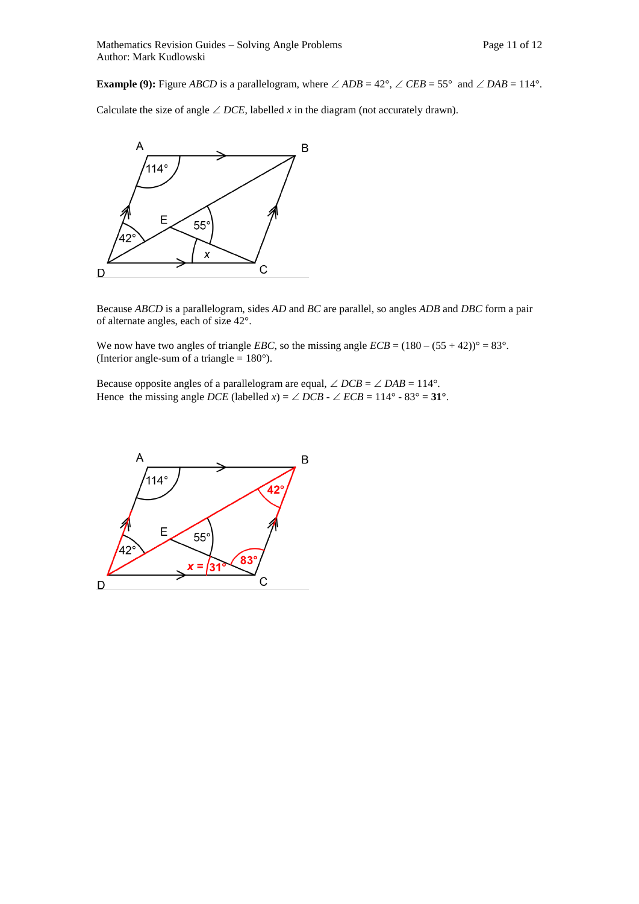**Example (9):** Figure *ABCD* is a parallelogram, where  $\angle$  *ADB* = 42°,  $\angle$  *CEB* = 55° and  $\angle$  *DAB* = 114°.

Calculate the size of angle  $\angle$  *DCE*, labelled *x* in the diagram (not accurately drawn).



Because *ABCD* is a parallelogram, sides *AD* and *BC* are parallel, so angles *ADB* and *DBC* form a pair of alternate angles, each of size 42°.

We now have two angles of triangle *EBC*, so the missing angle  $ECB = (180 - (55 + 42))^{\circ} = 83^{\circ}$ . (Interior angle-sum of a triangle  $= 180^{\circ}$ ).

Because opposite angles of a parallelogram are equal,  $\angle DCB = \angle DAB = 114^{\circ}$ . Hence the missing angle *DCE* (labelled *x*) =  $\angle$  *DCB* -  $\angle$  *ECB* = 114° - 83° = 31°.